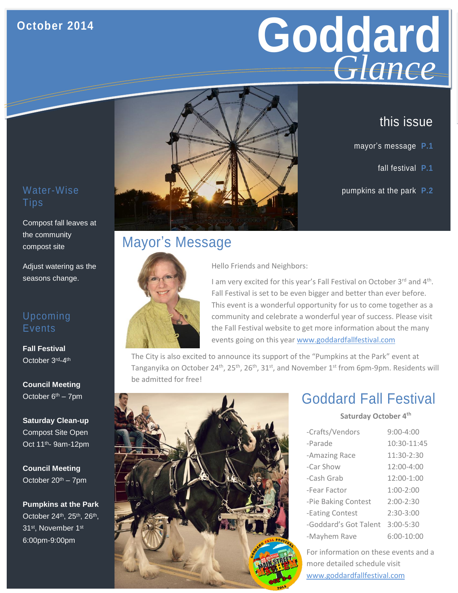### **October 2014**



### this issue

- mayor's message **P.1**
	- fall festival **P.1**
- Water-Wise **pumpkins at the park P.2**

## **Tips**

Compost fall leaves at the community compost site

Adjust watering as the seasons change.

#### Upcoming **Events**

**Fall Festival**  October 3<sup>rd</sup>-4<sup>th</sup>

**Council Meeting**  October  $6<sup>th</sup> - 7$ pm

**Saturday Clean-up** Compost Site Open Oct 11th- 9am-12pm

**Council Meeting** October  $20<sup>th</sup> - 7$ pm

**Pumpkins at the Park** October 24<sup>th</sup>, 25<sup>th</sup>, 26<sup>th</sup>, 31<sup>st</sup>, November 1st 6:00pm-9:00pm

## Mayor's Message



Hello Friends and Neighbors:

I am very excited for this year's Fall Festival on October 3rd and 4<sup>th</sup>. Fall Festival is set to be even bigger and better than ever before. This event is a wonderful opportunity for us to come together as a community and celebrate a wonderful year of success. Please visit the Fall Festival website to get more information about the many events going on this year [www.goddardfallfestival.com](http://www.goddardfallfestival.com/)

The City is also excited to announce its support of the "Pumpkins at the Park" event at Tanganyika on October 24<sup>th</sup>, 25<sup>th</sup>, 26<sup>th</sup>, 31<sup>st</sup>, and November 1<sup>st</sup> from 6pm-9pm. Residents will be admitted for free!



### Goddard Fall Festival

**Saturday October 4th**

| -Crafts/Vendors       | $9:00 - 4:00$ |
|-----------------------|---------------|
| -Parade               | 10:30-11:45   |
| -Amazing Race         | 11:30-2:30    |
| -Car Show             | 12:00-4:00    |
| -Cash Grab            | 12:00-1:00    |
| -Fear Factor          | $1:00-2:00$   |
| -Pie Baking Contest   | $2:00-2:30$   |
| -Eating Contest       | $2:30-3:00$   |
| -Goddard's Got Talent | $3:00 - 5:30$ |
| -Mayhem Rave          | 6:00-10:00    |

For information on these events and a more detailed schedule visit www.goddardfallfestival.com